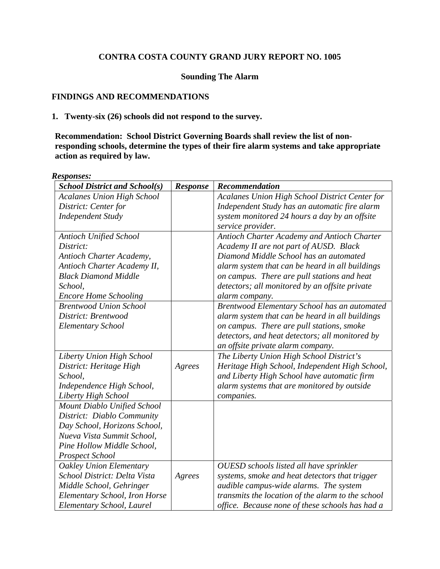# **CONTRA COSTA COUNTY GRAND JURY REPORT NO. 1005**

# **Sounding The Alarm**

# **FINDINGS AND RECOMMENDATIONS**

### **1. Twenty-six (26) schools did not respond to the survey.**

**Recommendation: School District Governing Boards shall review the list of nonresponding schools, determine the types of their fire alarm systems and take appropriate action as required by law.** 

#### *Responses: School District and School(s)* Response | Recommendation *Acalanes Union High School District: Center for Independent Study Acalanes Union High School District Center for Independent Study has an automatic fire alarm system monitored 24 hours a day by an offsite service provider. Antioch Unified School District: Antioch Charter Academy, Antioch Charter Academy II, Black Diamond Middle School, Encore Home Schooling Antioch Charter Academy and Antioch Charter Academy II are not part of AUSD. Black Diamond Middle School has an automated alarm system that can be heard in all buildings on campus. There are pull stations and heat detectors; all monitored by an offsite private alarm company. Brentwood Union School District: Brentwood Elementary School Brentwood Elementary School has an automated alarm system that can be heard in all buildings on campus. There are pull stations, smoke detectors, and heat detectors; all monitored by an offsite private alarm company. Liberty Union High School District: Heritage High School, Independence High School, Liberty High School Agrees The Liberty Union High School District's Heritage High School, Independent High School, and Liberty High School have automatic firm alarm systems that are monitored by outside companies. Mount Diablo Unified School District: Diablo Community Day School, Horizons School, Nueva Vista Summit School, Pine Hollow Middle School, Prospect School Oakley Union Elementary School District: Delta Vista Middle School, Gehringer Elementary School, Iron Horse Elementary School, Laurel Agrees OUESD schools listed all have sprinkler systems, smoke and heat detectors that trigger audible campus-wide alarms. The system transmits the location of the alarm to the school office. Because none of these schools has had a*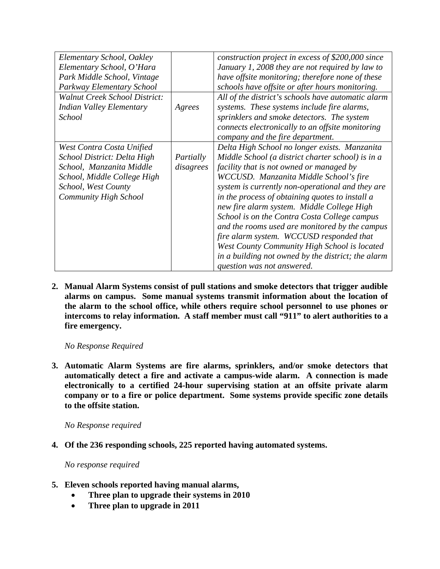| Elementary School, Oakley            |           | construction project in excess of \$200,000 since  |
|--------------------------------------|-----------|----------------------------------------------------|
|                                      |           |                                                    |
| Elementary School, O'Hara            |           | January 1, 2008 they are not required by law to    |
| Park Middle School, Vintage          |           | have offsite monitoring; therefore none of these   |
| Parkway Elementary School            |           | schools have offsite or after hours monitoring.    |
| <b>Walnut Creek School District:</b> |           | All of the district's schools have automatic alarm |
| <b>Indian Valley Elementary</b>      | Agrees    | systems. These systems include fire alarms,        |
| <b>School</b>                        |           | sprinklers and smoke detectors. The system         |
|                                      |           | connects electronically to an offsite monitoring   |
|                                      |           | company and the fire department.                   |
| West Contra Costa Unified            |           | Delta High School no longer exists. Manzanita      |
| School District: Delta High          | Partially | Middle School (a district charter school) is in a  |
| School, Manzanita Middle             | disagrees | facility that is not owned or managed by           |
| School, Middle College High          |           | WCCUSD. Manzanita Middle School's fire             |
| School, West County                  |           | system is currently non-operational and they are   |
| Community High School                |           | in the process of obtaining quotes to install a    |
|                                      |           | new fire alarm system. Middle College High         |
|                                      |           | School is on the Contra Costa College campus       |
|                                      |           | and the rooms used are monitored by the campus     |
|                                      |           | fire alarm system. WCCUSD responded that           |
|                                      |           | West County Community High School is located       |
|                                      |           | in a building not owned by the district; the alarm |
|                                      |           | question was not answered.                         |

**2. Manual Alarm Systems consist of pull stations and smoke detectors that trigger audible alarms on campus. Some manual systems transmit information about the location of the alarm to the school office, while others require school personnel to use phones or intercoms to relay information. A staff member must call "911" to alert authorities to a fire emergency.** 

 *No Response Required* 

**3. Automatic Alarm Systems are fire alarms, sprinklers, and/or smoke detectors that automatically detect a fire and activate a campus-wide alarm. A connection is made electronically to a certified 24-hour supervising station at an offsite private alarm company or to a fire or police department. Some systems provide specific zone details to the offsite station.** 

 *No Response required* 

**4. Of the 236 responding schools, 225 reported having automated systems.** 

 *No response required* 

- **5. Eleven schools reported having manual alarms,** 
	- • **Three plan to upgrade their systems in 2010**
	- • **Three plan to upgrade in 2011**